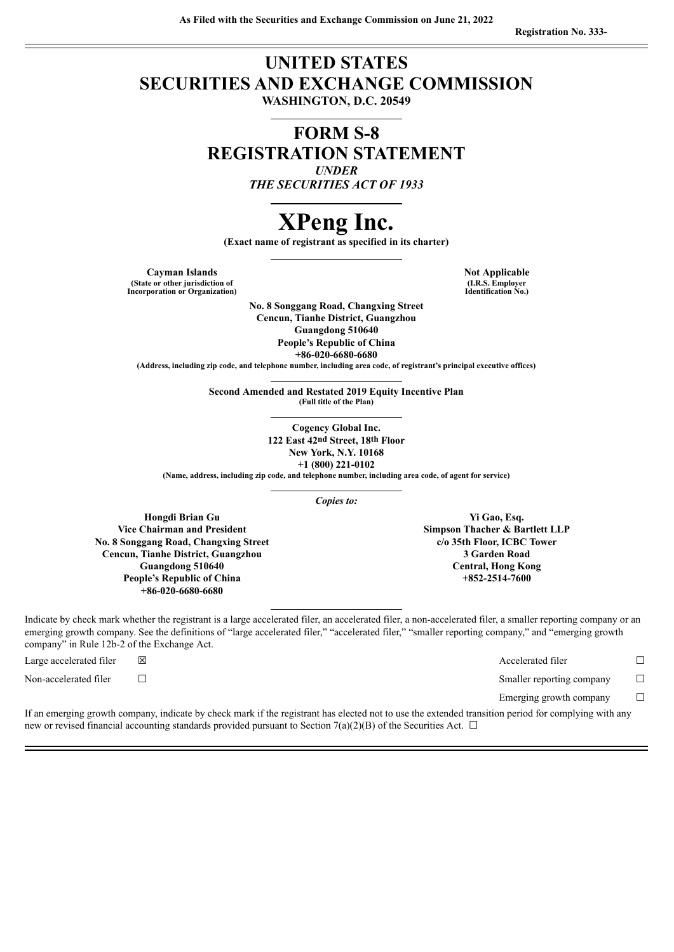# **UNITED STATES SECURITIES AND EXCHANGE COMMISSION WASHINGTON, D.C. 20549**

# **FORM S-8 REGISTRATION STATEMENT** *UNDER*

*THE SECURITIES ACT OF 1933*

# **XPeng Inc.**

**(Exact name of registrant as specified in its charter)**

**Cayman Islands Not Applicable Not Applicable (State or other jurisdiction of Incorporation or Organization)**

**(I.R.S. Employer Identification No.)**

**No. 8 Songgang Road, Changxing Street Cencun, Tianhe District, Guangzhou Guangdong 510640 People's Republic of China +86-020-6680-6680**

**(Address, including zip code, and telephone number, including area code, of registrant's principal executive offices)**

**Second Amended and Restated 2019 Equity Incentive Plan (Full title of the Plan)**

> **Cogency Global Inc. 122 East 42nd Street, 18th Floor New York, N.Y. 10168 +1 (800) 221-0102**

**(Name, address, including zip code, and telephone number, including area code, of agent for service)**

*Copies to:*

**Hongdi Brian Gu Vice Chairman and President No. 8 Songgang Road, Changxing Street Cencun, Tianhe District, Guangzhou Guangdong 510640 People's Republic of China +86-020-6680-6680**

Indicate by check mark whether the registrant is a large accelerated filer, an accelerated filer, a non-accelerated filer, a smaller reporting company or an emerging growth company. See the definitions of "large accelerated filer," "accelerated filer," "smaller reporting company," and "emerging growth company" in Rule 12b-2 of the Exchange Act.

Large accelerated filer ☒ Accelerated filer ☐

Non-accelerated filer <del>□</del> □

Emerging growth company  $\Box$ 

If an emerging growth company, indicate by check mark if the registrant has elected not to use the extended transition period for complying with any new or revised financial accounting standards provided pursuant to Section 7(a)(2)(B) of the Securities Act.  $\Box$ 

**Yi Gao, Esq. Simpson Thacher & Bartlett LLP c/o 35th Floor, ICBC Tower 3 Garden Road Central, Hong Kong +852-2514-7600**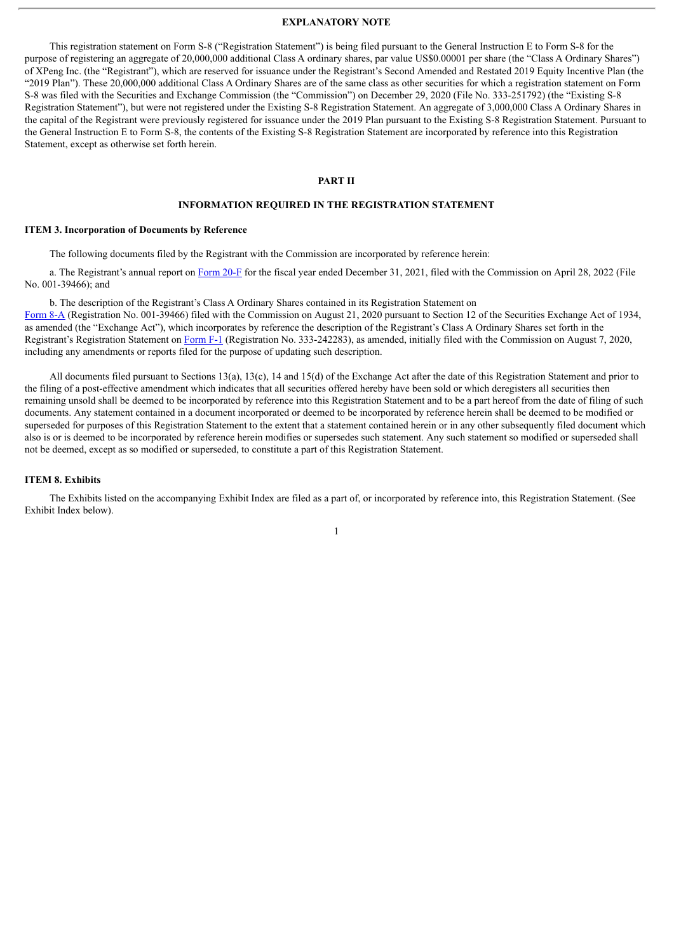#### **EXPLANATORY NOTE**

This registration statement on Form S-8 ("Registration Statement") is being filed pursuant to the General Instruction E to Form S-8 for the purpose of registering an aggregate of 20,000,000 additional Class A ordinary shares, par value US\$0.00001 per share (the "Class A Ordinary Shares") of XPeng Inc. (the "Registrant"), which are reserved for issuance under the Registrant's Second Amended and Restated 2019 Equity Incentive Plan (the "2019 Plan"). These 20,000,000 additional Class A Ordinary Shares are of the same class as other securities for which a registration statement on Form S-8 was filed with the Securities and Exchange Commission (the "Commission") on December 29, 2020 (File No. 333-251792) (the "Existing S-8 Registration Statement"), but were not registered under the Existing S-8 Registration Statement. An aggregate of 3,000,000 Class A Ordinary Shares in the capital of the Registrant were previously registered for issuance under the 2019 Plan pursuant to the Existing S-8 Registration Statement. Pursuant to the General Instruction E to Form S-8, the contents of the Existing S-8 Registration Statement are incorporated by reference into this Registration Statement, except as otherwise set forth herein.

#### **PART II**

#### **INFORMATION REQUIRED IN THE REGISTRATION STATEMENT**

#### **ITEM 3. Incorporation of Documents by Reference**

The following documents filed by the Registrant with the Commission are incorporated by reference herein:

a. The Registrant's annual report on [Form](http://www.sec.gov/ix?doc=/Archives/edgar/data/0001810997/000119312522125161/d281767d20f.htm) 20-F for the fiscal year ended December 31, 2021, filed with the Commission on April 28, 2022 (File No. 001-39466); and

b. The description of the Registrant's Class A Ordinary Shares contained in its Registration Statement on

[Form](http://www.sec.gov/Archives/edgar/data/0001810997/000119312520226673/d926343d8a12b.htm) 8-A (Registration No. 001-39466) filed with the Commission on August 21, 2020 pursuant to Section 12 of the Securities Exchange Act of 1934, as amended (the "Exchange Act"), which incorporates by reference the description of the Registrant's Class A Ordinary Shares set forth in the Registrant's Registration Statement on [Form](http://www.sec.gov/Archives/edgar/data/0001810997/000119312520212871/d890887df1.htm) F-1 (Registration No. 333-242283), as amended, initially filed with the Commission on August 7, 2020, including any amendments or reports filed for the purpose of updating such description.

All documents filed pursuant to Sections 13(a), 13(c), 14 and 15(d) of the Exchange Act after the date of this Registration Statement and prior to the filing of a post-effective amendment which indicates that all securities offered hereby have been sold or which deregisters all securities then remaining unsold shall be deemed to be incorporated by reference into this Registration Statement and to be a part hereof from the date of filing of such documents. Any statement contained in a document incorporated or deemed to be incorporated by reference herein shall be deemed to be modified or superseded for purposes of this Registration Statement to the extent that a statement contained herein or in any other subsequently filed document which also is or is deemed to be incorporated by reference herein modifies or supersedes such statement. Any such statement so modified or superseded shall not be deemed, except as so modified or superseded, to constitute a part of this Registration Statement.

#### **ITEM 8. Exhibits**

The Exhibits listed on the accompanying Exhibit Index are filed as a part of, or incorporated by reference into, this Registration Statement. (See Exhibit Index below).

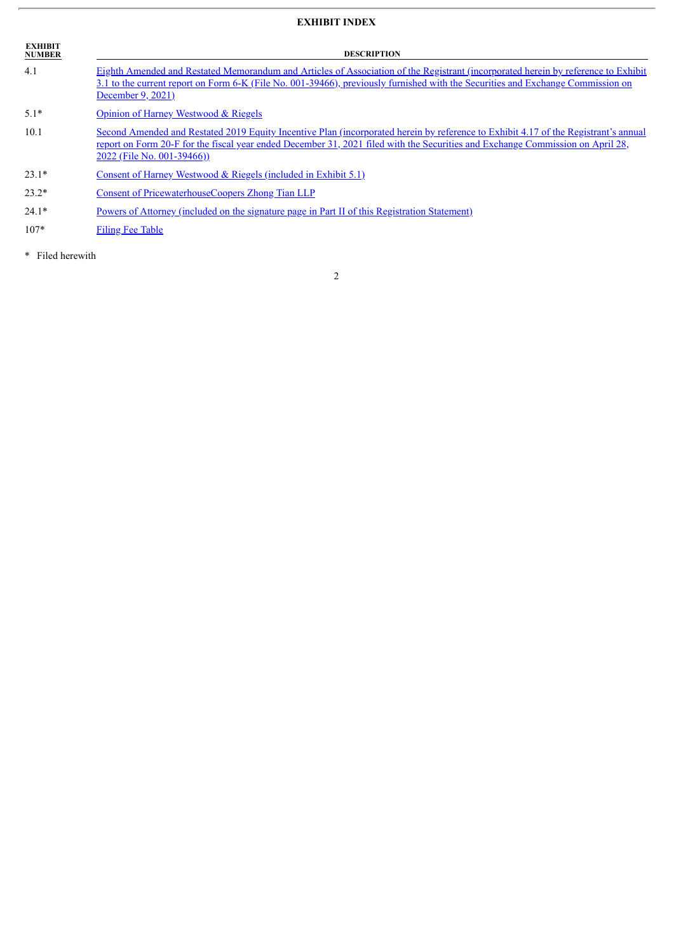## **EXHIBIT INDEX**

| <b>EXHIBIT</b><br><b>NUMBER</b> | <b>DESCRIPTION</b>                                                                                                                                                                                                                                                                                  |  |  |  |  |
|---------------------------------|-----------------------------------------------------------------------------------------------------------------------------------------------------------------------------------------------------------------------------------------------------------------------------------------------------|--|--|--|--|
| 4.1                             | Eighth Amended and Restated Memorandum and Articles of Association of the Registrant (incorporated herein by reference to Exhibit<br>3.1 to the current report on Form 6-K (File No. 001-39466), previously furnished with the Securities and Exchange Commission on<br>December 9, 2021)           |  |  |  |  |
| $5.1*$                          | Opinion of Harney Westwood & Riegels                                                                                                                                                                                                                                                                |  |  |  |  |
| 10.1                            | Second Amended and Restated 2019 Equity Incentive Plan (incorporated herein by reference to Exhibit 4.17 of the Registrant's annual<br>report on Form 20-F for the fiscal year ended December 31, 2021 filed with the Securities and Exchange Commission on April 28,<br>2022 (File No. 001-39466)) |  |  |  |  |
| $23.1*$                         | Consent of Harney Westwood $\&$ Riegels (included in Exhibit 5.1)                                                                                                                                                                                                                                   |  |  |  |  |
| $23.2*$                         | Consent of PricewaterhouseCoopers Zhong Tian LLP                                                                                                                                                                                                                                                    |  |  |  |  |
| $24.1*$                         | <u>Powers of Attorney (included on the signature page in Part II of this Registration Statement)</u>                                                                                                                                                                                                |  |  |  |  |
| $107*$                          | <b>Filing Fee Table</b>                                                                                                                                                                                                                                                                             |  |  |  |  |

2

\* Filed herewith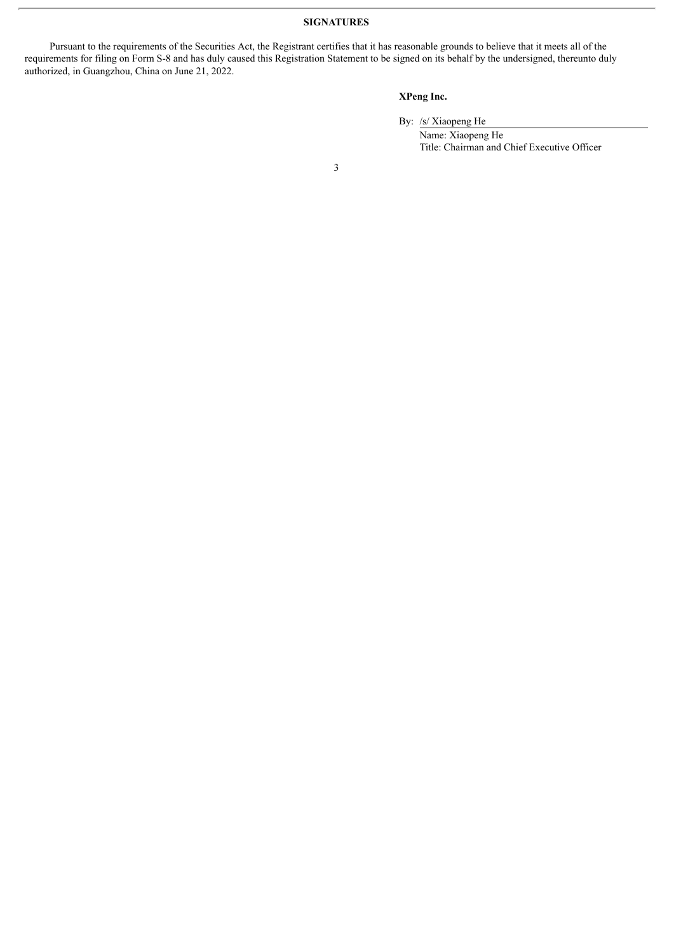#### **SIGNATURES**

Pursuant to the requirements of the Securities Act, the Registrant certifies that it has reasonable grounds to believe that it meets all of the requirements for filing on Form S-8 and has duly caused this Registration Statement to be signed on its behalf by the undersigned, thereunto duly authorized, in Guangzhou, China on June 21, 2022.

#### **XPeng Inc.**

By: /s/ Xiaopeng He

Name: Xiaopeng He Title: Chairman and Chief Executive Officer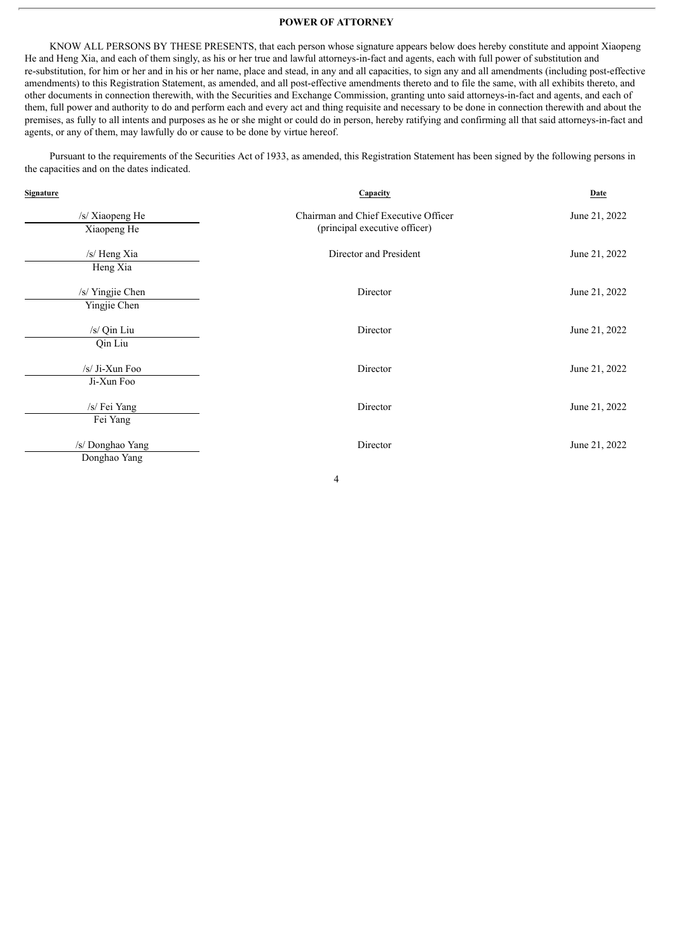#### **POWER OF ATTORNEY**

<span id="page-4-0"></span>KNOW ALL PERSONS BY THESE PRESENTS, that each person whose signature appears below does hereby constitute and appoint Xiaopeng He and Heng Xia, and each of them singly, as his or her true and lawful attorneys-in-fact and agents, each with full power of substitution and re-substitution, for him or her and in his or her name, place and stead, in any and all capacities, to sign any and all amendments (including post-effective amendments) to this Registration Statement, as amended, and all post-effective amendments thereto and to file the same, with all exhibits thereto, and other documents in connection therewith, with the Securities and Exchange Commission, granting unto said attorneys-in-fact and agents, and each of them, full power and authority to do and perform each and every act and thing requisite and necessary to be done in connection therewith and about the premises, as fully to all intents and purposes as he or she might or could do in person, hereby ratifying and confirming all that said attorneys-in-fact and agents, or any of them, may lawfully do or cause to be done by virtue hereof.

Pursuant to the requirements of the Securities Act of 1933, as amended, this Registration Statement has been signed by the following persons in the capacities and on the dates indicated.

| Signature                        | Capacity                                                              | Date          |
|----------------------------------|-----------------------------------------------------------------------|---------------|
| /s/ Xiaopeng He<br>Xiaopeng He   | Chairman and Chief Executive Officer<br>(principal executive officer) | June 21, 2022 |
| /s/ Heng Xia<br>Heng Xia         | Director and President                                                | June 21, 2022 |
| /s/ Yingjie Chen<br>Yingjie Chen | Director                                                              | June 21, 2022 |
| $/s/$ Qin Liu<br>Qin Liu         | Director                                                              | June 21, 2022 |
| $/s/$ Ji-Xun Foo<br>Ji-Xun Foo   | Director                                                              | June 21, 2022 |
| /s/ Fei Yang<br>Fei Yang         | Director                                                              | June 21, 2022 |
| /s/ Donghao Yang<br>Donghao Yang | Director                                                              | June 21, 2022 |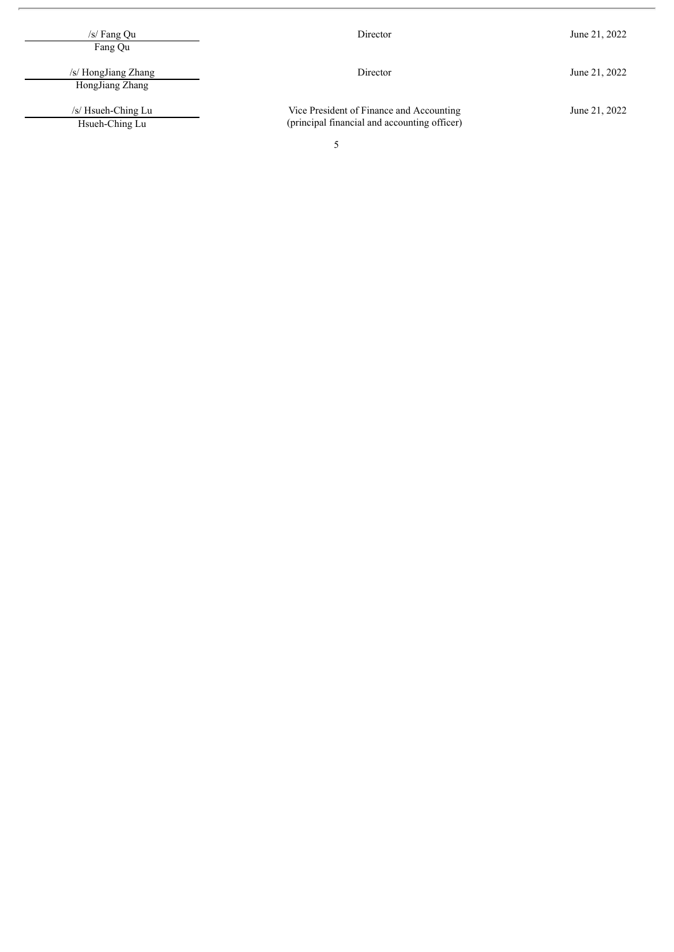| /s/ Fang $Qu$<br>Fang Qu               | Director                                                                                 | June 21, 2022 |  |
|----------------------------------------|------------------------------------------------------------------------------------------|---------------|--|
| /s/ HongJiang Zhang<br>HongJiang Zhang | Director                                                                                 | June 21, 2022 |  |
| /s/ Hsueh-Ching Lu<br>Hsueh-Ching Lu   | Vice President of Finance and Accounting<br>(principal financial and accounting officer) | June 21, 2022 |  |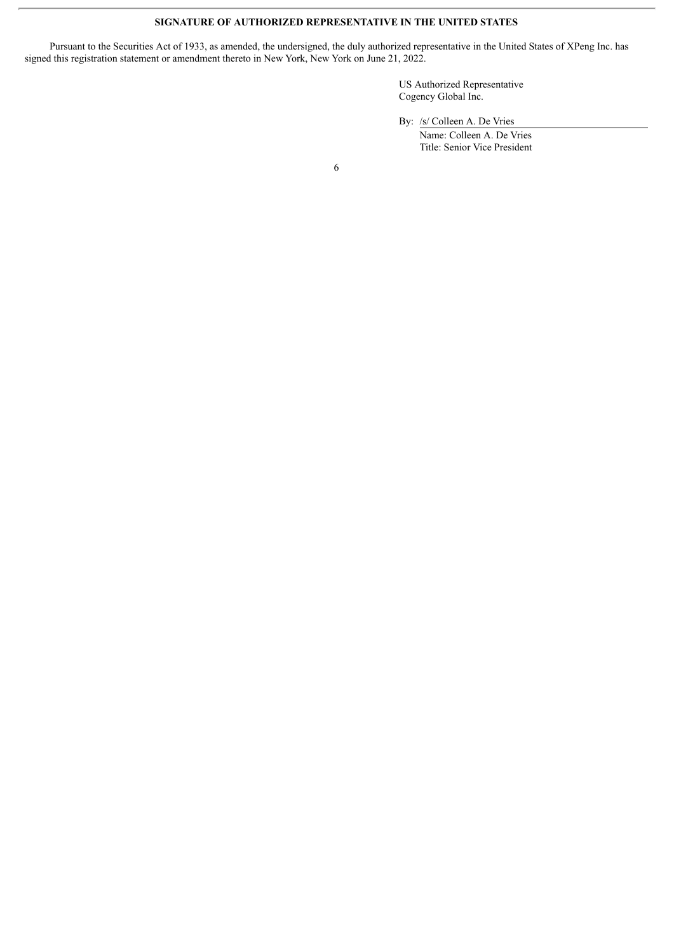#### **SIGNATURE OF AUTHORIZED REPRESENTATIVE IN THE UNITED STATES**

Pursuant to the Securities Act of 1933, as amended, the undersigned, the duly authorized representative in the United States of XPeng Inc. has signed this registration statement or amendment thereto in New York, New York on June 21, 2022.

> US Authorized Representative Cogency Global Inc.

By: /s/ Colleen A. De Vries

Name: Colleen A. De Vries Title: Senior Vice President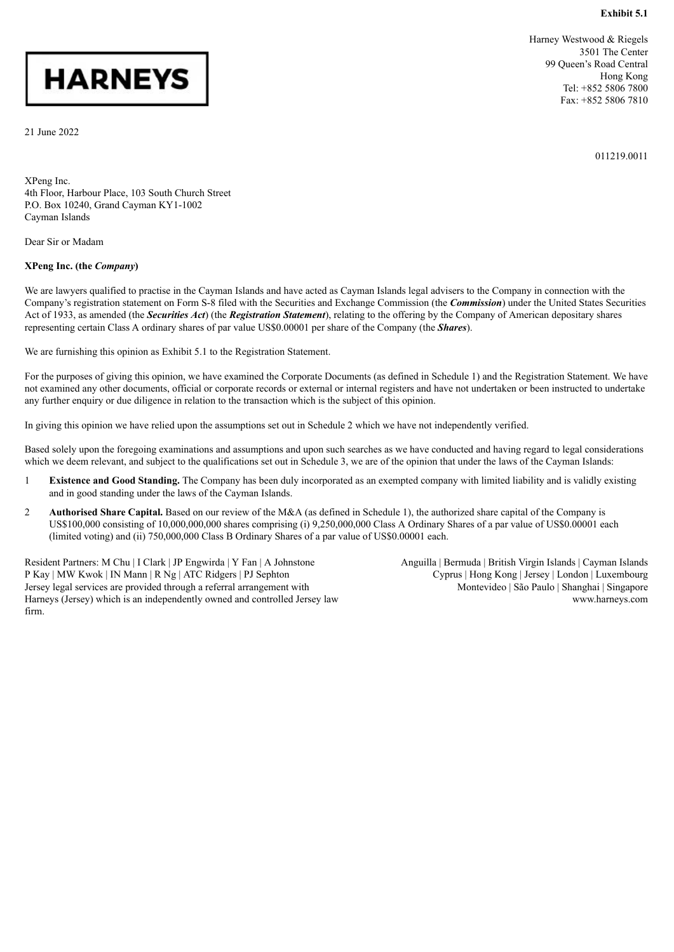#### **Exhibit 5.1**

# <span id="page-7-0"></span>**HARNEYS**

21 June 2022

Harney Westwood & Riegels 3501 The Center 99 Queen's Road Central Hong Kong Tel: +852 5806 7800 Fax: +852 5806 7810

011219.0011

XPeng Inc. 4th Floor, Harbour Place, 103 South Church Street P.O. Box 10240, Grand Cayman KY1-1002 Cayman Islands

Dear Sir or Madam

#### **XPeng Inc. (the** *Company***)**

We are lawyers qualified to practise in the Cayman Islands and have acted as Cayman Islands legal advisers to the Company in connection with the Company's registration statement on Form S-8 filed with the Securities and Exchange Commission (the *Commission*) under the United States Securities Act of 1933, as amended (the *Securities Act*) (the *Registration Statement*), relating to the offering by the Company of American depositary shares representing certain Class A ordinary shares of par value US\$0.00001 per share of the Company (the *Shares*).

We are furnishing this opinion as Exhibit 5.1 to the Registration Statement.

For the purposes of giving this opinion, we have examined the Corporate Documents (as defined in Schedule 1) and the Registration Statement. We have not examined any other documents, official or corporate records or external or internal registers and have not undertaken or been instructed to undertake any further enquiry or due diligence in relation to the transaction which is the subject of this opinion.

In giving this opinion we have relied upon the assumptions set out in Schedule 2 which we have not independently verified.

Based solely upon the foregoing examinations and assumptions and upon such searches as we have conducted and having regard to legal considerations which we deem relevant, and subject to the qualifications set out in Schedule 3, we are of the opinion that under the laws of the Cayman Islands:

- 1 **Existence and Good Standing.** The Company has been duly incorporated as an exempted company with limited liability and is validly existing and in good standing under the laws of the Cayman Islands.
- 2 **Authorised Share Capital.** Based on our review of the M&A (as defined in Schedule 1), the authorized share capital of the Company is US\$100,000 consisting of 10,000,000,000 shares comprising (i) 9,250,000,000 Class A Ordinary Shares of a par value of US\$0.00001 each (limited voting) and (ii) 750,000,000 Class B Ordinary Shares of a par value of US\$0.00001 each.

Resident Partners: M Chu | I Clark | JP Engwirda | Y Fan | A Johnstone P Kay | MW Kwok | IN Mann | R Ng | ATC Ridgers | PJ Sephton Jersey legal services are provided through a referral arrangement with Harneys (Jersey) which is an independently owned and controlled Jersey law firm.

Anguilla | Bermuda | British Virgin Islands | Cayman Islands Cyprus | Hong Kong | Jersey | London | Luxembourg Montevideo | São Paulo | Shanghai | Singapore www.harneys.com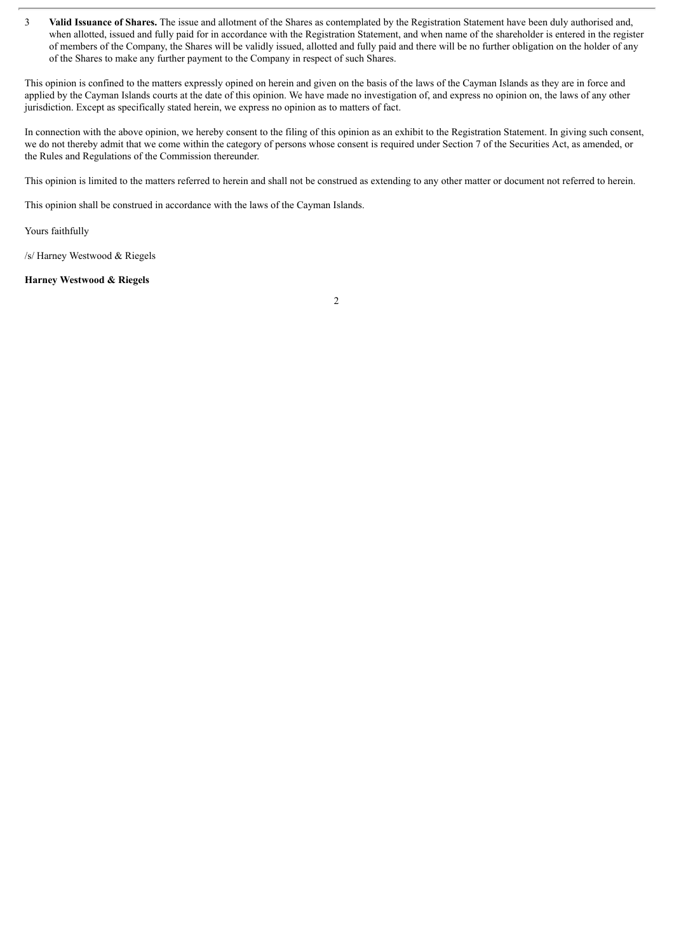3 **Valid Issuance of Shares.** The issue and allotment of the Shares as contemplated by the Registration Statement have been duly authorised and, when allotted, issued and fully paid for in accordance with the Registration Statement, and when name of the shareholder is entered in the register of members of the Company, the Shares will be validly issued, allotted and fully paid and there will be no further obligation on the holder of any of the Shares to make any further payment to the Company in respect of such Shares.

This opinion is confined to the matters expressly opined on herein and given on the basis of the laws of the Cayman Islands as they are in force and applied by the Cayman Islands courts at the date of this opinion. We have made no investigation of, and express no opinion on, the laws of any other jurisdiction. Except as specifically stated herein, we express no opinion as to matters of fact.

In connection with the above opinion, we hereby consent to the filing of this opinion as an exhibit to the Registration Statement. In giving such consent, we do not thereby admit that we come within the category of persons whose consent is required under Section 7 of the Securities Act, as amended, or the Rules and Regulations of the Commission thereunder.

This opinion is limited to the matters referred to herein and shall not be construed as extending to any other matter or document not referred to herein.

This opinion shall be construed in accordance with the laws of the Cayman Islands.

Yours faithfully

/s/ Harney Westwood & Riegels

#### **Harney Westwood & Riegels**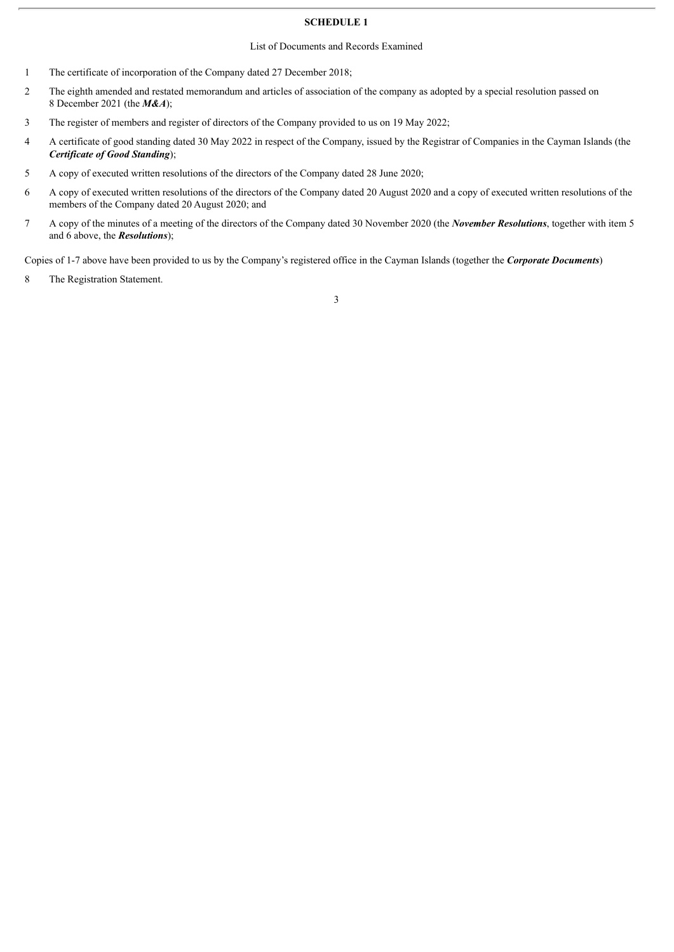#### **SCHEDULE 1**

#### List of Documents and Records Examined

- 1 The certificate of incorporation of the Company dated 27 December 2018;
- 2 The eighth amended and restated memorandum and articles of association of the company as adopted by a special resolution passed on 8 December 2021 (the *M&A*);
- 3 The register of members and register of directors of the Company provided to us on 19 May 2022;
- 4 A certificate of good standing dated 30 May 2022 in respect of the Company, issued by the Registrar of Companies in the Cayman Islands (the *Certificate of Good Standing*);
- 5 A copy of executed written resolutions of the directors of the Company dated 28 June 2020;
- 6 A copy of executed written resolutions of the directors of the Company dated 20 August 2020 and a copy of executed written resolutions of the members of the Company dated 20 August 2020; and
- 7 A copy of the minutes of a meeting of the directors of the Company dated 30 November 2020 (the *November Resolutions*, together with item 5 and 6 above, the *Resolutions*);

Copies of 1-7 above have been provided to us by the Company's registered office in the Cayman Islands (together the *Corporate Documents*)

8 The Registration Statement.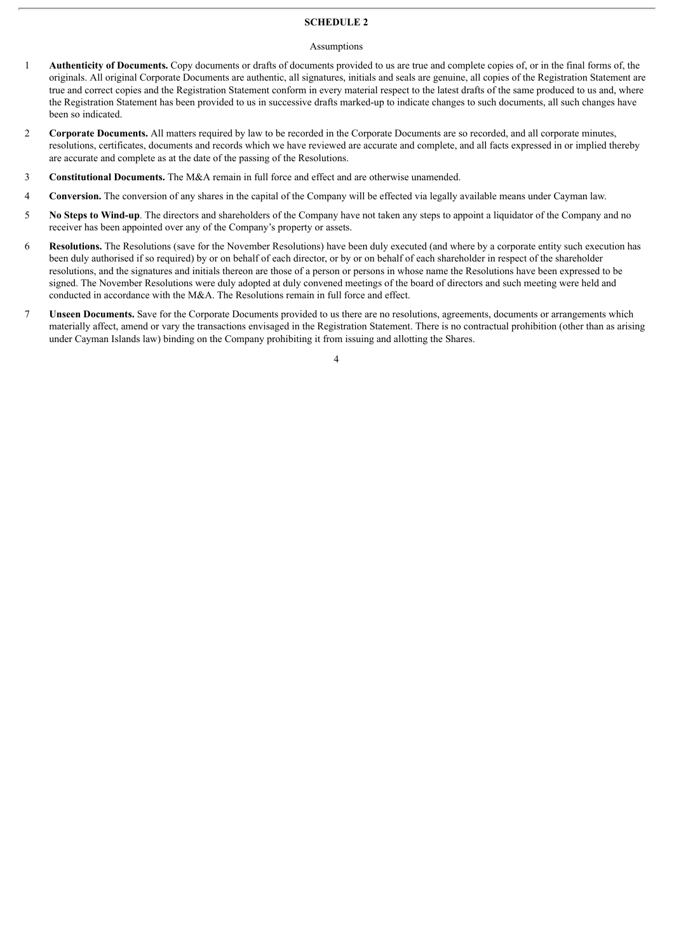#### **SCHEDULE 2**

#### Assumptions

- 1 **Authenticity of Documents.** Copy documents or drafts of documents provided to us are true and complete copies of, or in the final forms of, the originals. All original Corporate Documents are authentic, all signatures, initials and seals are genuine, all copies of the Registration Statement are true and correct copies and the Registration Statement conform in every material respect to the latest drafts of the same produced to us and, where the Registration Statement has been provided to us in successive drafts marked-up to indicate changes to such documents, all such changes have been so indicated.
- 2 **Corporate Documents.** All matters required by law to be recorded in the Corporate Documents are so recorded, and all corporate minutes, resolutions, certificates, documents and records which we have reviewed are accurate and complete, and all facts expressed in or implied thereby are accurate and complete as at the date of the passing of the Resolutions.
- 3 **Constitutional Documents.** The M&A remain in full force and effect and are otherwise unamended.
- 4 **Conversion.** The conversion of any shares in the capital of the Company will be effected via legally available means under Cayman law.
- 5 **No Steps to Wind-up**. The directors and shareholders of the Company have not taken any steps to appoint a liquidator of the Company and no receiver has been appointed over any of the Company's property or assets.
- 6 **Resolutions.** The Resolutions (save for the November Resolutions) have been duly executed (and where by a corporate entity such execution has been duly authorised if so required) by or on behalf of each director, or by or on behalf of each shareholder in respect of the shareholder resolutions, and the signatures and initials thereon are those of a person or persons in whose name the Resolutions have been expressed to be signed. The November Resolutions were duly adopted at duly convened meetings of the board of directors and such meeting were held and conducted in accordance with the M&A. The Resolutions remain in full force and effect.
- 7 **Unseen Documents.** Save for the Corporate Documents provided to us there are no resolutions, agreements, documents or arrangements which materially affect, amend or vary the transactions envisaged in the Registration Statement. There is no contractual prohibition (other than as arising under Cayman Islands law) binding on the Company prohibiting it from issuing and allotting the Shares.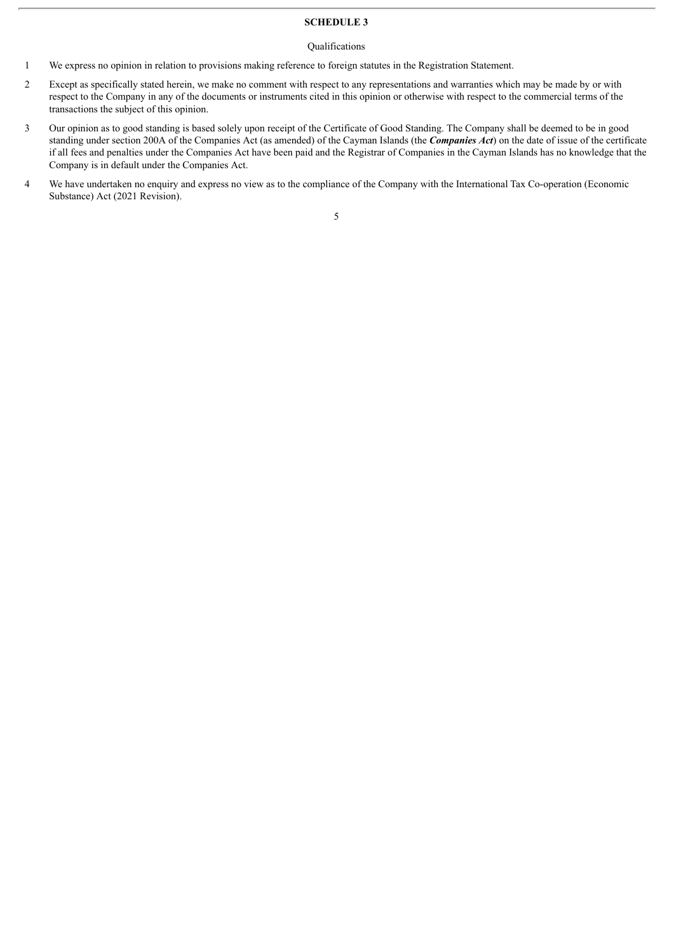#### **SCHEDULE 3**

#### Qualifications

- 1 We express no opinion in relation to provisions making reference to foreign statutes in the Registration Statement.
- 2 Except as specifically stated herein, we make no comment with respect to any representations and warranties which may be made by or with respect to the Company in any of the documents or instruments cited in this opinion or otherwise with respect to the commercial terms of the transactions the subject of this opinion.
- 3 Our opinion as to good standing is based solely upon receipt of the Certificate of Good Standing. The Company shall be deemed to be in good standing under section 200A of the Companies Act (as amended) of the Cayman Islands (the *Companies Act*) on the date of issue of the certificate if all fees and penalties under the Companies Act have been paid and the Registrar of Companies in the Cayman Islands has no knowledge that the Company is in default under the Companies Act.
- 4 We have undertaken no enquiry and express no view as to the compliance of the Company with the International Tax Co-operation (Economic Substance) Act (2021 Revision).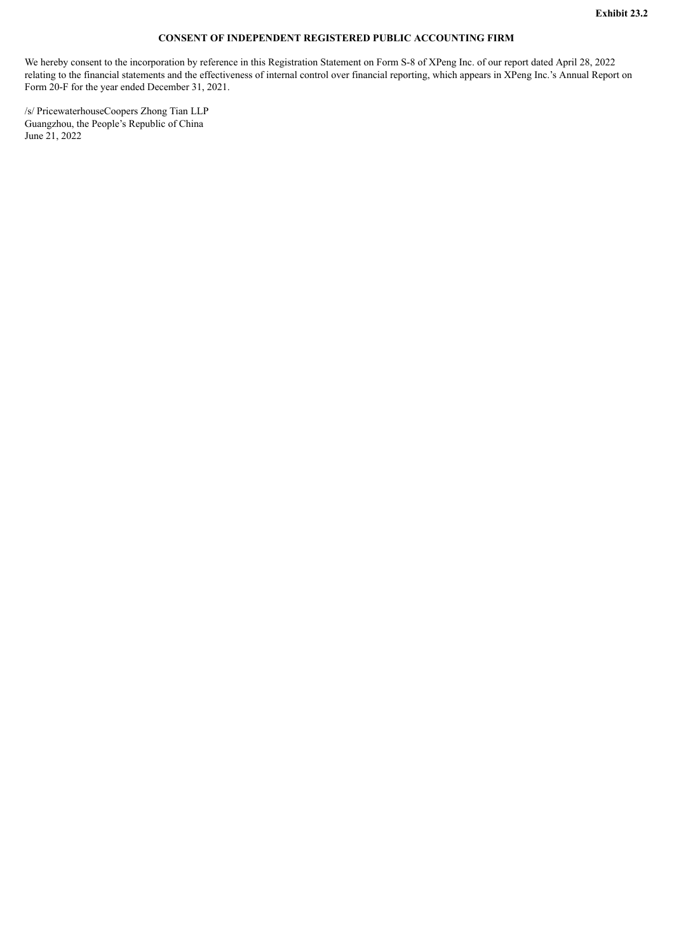#### **CONSENT OF INDEPENDENT REGISTERED PUBLIC ACCOUNTING FIRM**

<span id="page-12-0"></span>We hereby consent to the incorporation by reference in this Registration Statement on Form S-8 of XPeng Inc. of our report dated April 28, 2022 relating to the financial statements and the effectiveness of internal control over financial reporting, which appears in XPeng Inc.'s Annual Report on Form 20-F for the year ended December 31, 2021.

/s/ PricewaterhouseCoopers Zhong Tian LLP Guangzhou, the People's Republic of China June 21, 2022